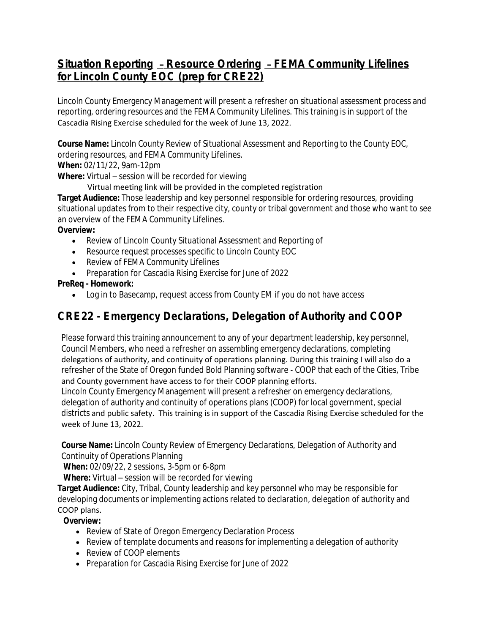## **Situation Reporting** – **Resource Ordering** – **FEMA Community Lifelines for Lincoln County EOC (prep for CRE22)**

Lincoln County Emergency Management will present a refresher on situational assessment process and reporting, ordering resources and the FEMA Community Lifelines. This training is in support of the Cascadia Rising Exercise scheduled for the week of June 13, 2022.

**Course Name:** Lincoln County Review of Situational Assessment and Reporting to the County EOC, ordering resources, and FEMA Community Lifelines.

#### **When:** 02/11/22, 9am-12pm

**Where:** Virtual – session will be recorded for viewing

Virtual meeting link will be provided in the completed registration

**Target Audience:** Those leadership and key personnel responsible for ordering resources, providing situational updates from to their respective city, county or tribal government and those who want to see an overview of the FEMA Community Lifelines.

#### **Overview:**

- Review of Lincoln County Situational Assessment and Reporting of
- Resource request processes specific to Lincoln County EOC
- Review of FEMA Community Lifelines
- Preparation for Cascadia Rising Exercise for June of 2022

#### **PreReq - Homework:**

Log in to Basecamp, request access from County EM if you do not have access

# **CRE22 - Emergency Declarations, Delegation of Authority and COOP**

Please forward this training announcement to any of your department leadership, key personnel, Council Members, who need a refresher on assembling emergency declarations, completing delegations of authority, and continuity of operations planning. During this training I will also do a refresher of the State of Oregon funded Bold Planning software - COOP that each of the Cities, Tribe and County government have access to for their COOP planning efforts.

Lincoln County Emergency Management will present a refresher on emergency declarations, delegation of authority and continuity of operations plans (COOP) for local government, special districts and public safety. This training is in support of the Cascadia Rising Exercise scheduled for the week of June 13, 2022.

**Course Name:** Lincoln County Review of Emergency Declarations, Delegation of Authority and Continuity of Operations Planning

**When:** 02/09/22, 2 sessions, 3-5pm or 6-8pm

**Where:** Virtual – session will be recorded for viewing

**Target Audience:** City, Tribal, County leadership and key personnel who may be responsible for developing documents or implementing actions related to declaration, delegation of authority and COOP plans.

#### **Overview:**

- Review of State of Oregon Emergency Declaration Process
- Review of template documents and reasons for implementing a delegation of authority
- Review of COOP elements
- Preparation for Cascadia Rising Exercise for June of 2022